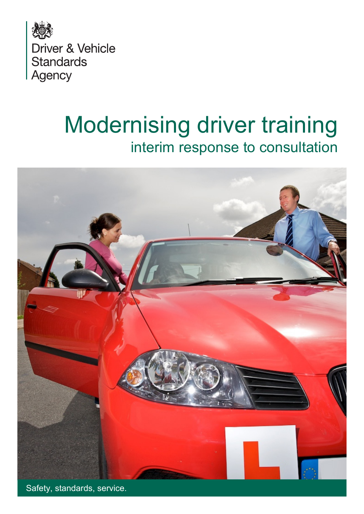

# Modernising driver training interim response to consultation



Safety, standards, service.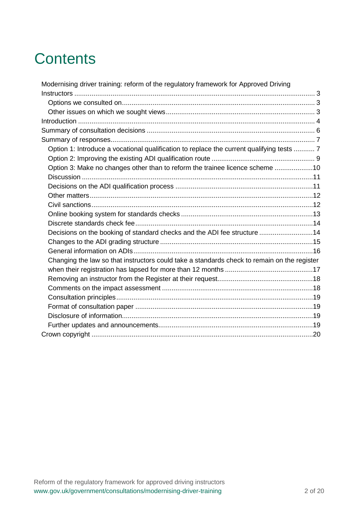# **Contents**

| Modernising driver training: reform of the regulatory framework for Approved Driving        |  |
|---------------------------------------------------------------------------------------------|--|
|                                                                                             |  |
|                                                                                             |  |
|                                                                                             |  |
|                                                                                             |  |
|                                                                                             |  |
|                                                                                             |  |
| Option 1: Introduce a vocational qualification to replace the current qualifying tests  7   |  |
|                                                                                             |  |
| Option 3: Make no changes other than to reform the trainee licence scheme 10                |  |
|                                                                                             |  |
|                                                                                             |  |
|                                                                                             |  |
|                                                                                             |  |
|                                                                                             |  |
|                                                                                             |  |
| Decisions on the booking of standard checks and the ADI fee structure 14                    |  |
|                                                                                             |  |
|                                                                                             |  |
| Changing the law so that instructors could take a standards check to remain on the register |  |
|                                                                                             |  |
|                                                                                             |  |
|                                                                                             |  |
|                                                                                             |  |
|                                                                                             |  |
|                                                                                             |  |
|                                                                                             |  |
|                                                                                             |  |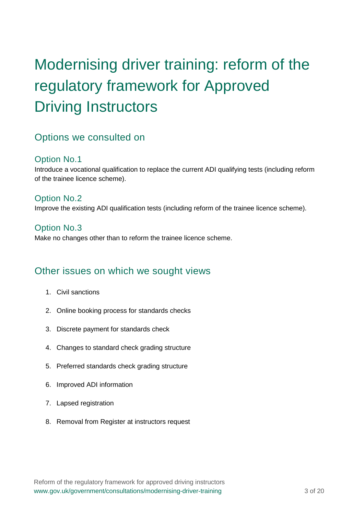# <span id="page-2-0"></span>Modernising driver training: reform of the regulatory framework for Approved Driving Instructors

## <span id="page-2-1"></span>Options we consulted on

#### Option No.1

Introduce a vocational qualification to replace the current ADI qualifying tests (including reform of the trainee licence scheme).

Option No.2 Improve the existing ADI qualification tests (including reform of the trainee licence scheme).

#### Option No.3

Make no changes other than to reform the trainee licence scheme.

### <span id="page-2-2"></span>Other issues on which we sought views

- 1. Civil sanctions
- 2. Online booking process for standards checks
- 3. Discrete payment for standards check
- 4. Changes to standard check grading structure
- 5. Preferred standards check grading structure
- 6. Improved ADI information
- 7. Lapsed registration
- 8. Removal from Register at instructors request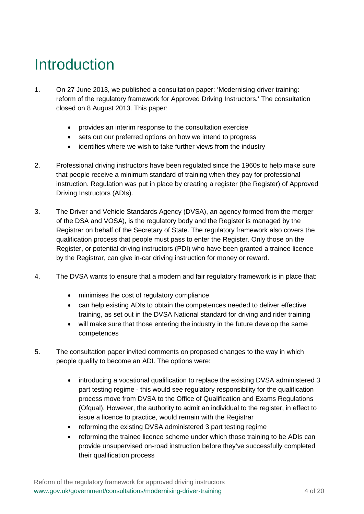# <span id="page-3-0"></span>Introduction

- 1. On 27 June 2013, we published a consultation paper: 'Modernising driver training: reform of the regulatory framework for Approved Driving Instructors.' The consultation closed on 8 August 2013. This paper:
	- provides an interim response to the consultation exercise
	- sets out our preferred options on how we intend to progress
	- identifies where we wish to take further views from the industry
- 2. Professional driving instructors have been regulated since the 1960s to help make sure that people receive a minimum standard of training when they pay for professional instruction. Regulation was put in place by creating a register (the Register) of Approved Driving Instructors (ADIs).
- 3. The Driver and Vehicle Standards Agency (DVSA), an agency formed from the merger of the DSA and VOSA), is the regulatory body and the Register is managed by the Registrar on behalf of the Secretary of State. The regulatory framework also covers the qualification process that people must pass to enter the Register. Only those on the Register, or potential driving instructors (PDI) who have been granted a trainee licence by the Registrar, can give in-car driving instruction for money or reward.
- 4. The DVSA wants to ensure that a modern and fair regulatory framework is in place that:
	- minimises the cost of regulatory compliance
	- can help existing ADIs to obtain the competences needed to deliver effective training, as set out in the DVSA National standard for driving and rider training
	- will make sure that those entering the industry in the future develop the same competences
- 5. The consultation paper invited comments on proposed changes to the way in which people qualify to become an ADI. The options were:
	- introducing a vocational qualification to replace the existing DVSA administered 3 part testing regime - this would see regulatory responsibility for the qualification process move from DVSA to the Office of Qualification and Exams Regulations (Ofqual). However, the authority to admit an individual to the register, in effect to issue a licence to practice, would remain with the Registrar
	- reforming the existing DVSA administered 3 part testing regime
	- reforming the trainee licence scheme under which those training to be ADIs can provide unsupervised on-road instruction before they've successfully completed their qualification process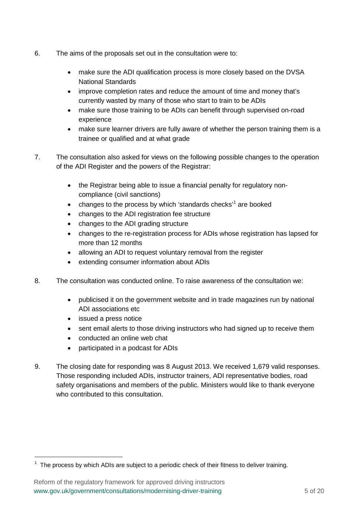- 6. The aims of the proposals set out in the consultation were to:
	- make sure the ADI qualification process is more closely based on the DVSA National Standards
	- improve completion rates and reduce the amount of time and money that's currently wasted by many of those who start to train to be ADIs
	- make sure those training to be ADIs can benefit through supervised on-road experience
	- make sure learner drivers are fully aware of whether the person training them is a trainee or qualified and at what grade
- 7. The consultation also asked for views on the following possible changes to the operation of the ADI Register and the powers of the Registrar:
	- the Registrar being able to issue a financial penalty for regulatory noncompliance (civil sanctions)
	- changes to the process by which 'standards checks'<sup>[1](#page-4-0)</sup> are booked
	- changes to the ADI registration fee structure
	- changes to the ADI grading structure
	- changes to the re-registration process for ADIs whose registration has lapsed for more than 12 months
	- allowing an ADI to request voluntary removal from the register
	- extending consumer information about ADIs
- 8. The consultation was conducted online. To raise awareness of the consultation we:
	- publicised it on the government website and in trade magazines run by national ADI associations etc
	- issued a press notice

-

- sent email alerts to those driving instructors who had signed up to receive them
- conducted an online web chat
- participated in a podcast for ADIs
- 9. The closing date for responding was 8 August 2013. We received 1,679 valid responses. Those responding included ADIs, instructor trainers, ADI representative bodies, road safety organisations and members of the public. Ministers would like to thank everyone who contributed to this consultation.

<span id="page-4-0"></span> $1$  The process by which ADIs are subject to a periodic check of their fitness to deliver training.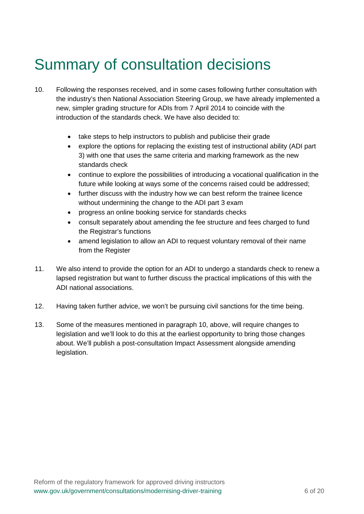# <span id="page-5-0"></span>Summary of consultation decisions

- 10. Following the responses received, and in some cases following further consultation with the industry's then National Association Steering Group, we have already implemented a new, simpler grading structure for ADIs from 7 April 2014 to coincide with the introduction of the standards check. We have also decided to:
	- take steps to help instructors to publish and publicise their grade
	- explore the options for replacing the existing test of instructional ability (ADI part 3) with one that uses the same criteria and marking framework as the new standards check
	- continue to explore the possibilities of introducing a vocational qualification in the future while looking at ways some of the concerns raised could be addressed;
	- further discuss with the industry how we can best reform the trainee licence without undermining the change to the ADI part 3 exam
	- progress an online booking service for standards checks
	- consult separately about amending the fee structure and fees charged to fund the Registrar's functions
	- amend legislation to allow an ADI to request voluntary removal of their name from the Register
- 11. We also intend to provide the option for an ADI to undergo a standards check to renew a lapsed registration but want to further discuss the practical implications of this with the ADI national associations.
- 12. Having taken further advice, we won't be pursuing civil sanctions for the time being.
- 13. Some of the measures mentioned in paragraph 10, above, will require changes to legislation and we'll look to do this at the earliest opportunity to bring those changes about. We'll publish a post-consultation Impact Assessment alongside amending legislation.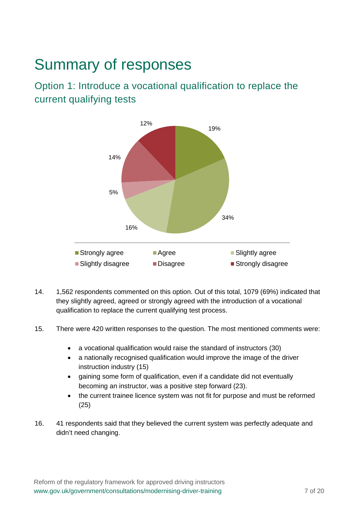# <span id="page-6-0"></span>Summary of responses

<span id="page-6-1"></span>Option 1: Introduce a vocational qualification to replace the current qualifying tests



- 14. 1,562 respondents commented on this option. Out of this total, 1079 (69%) indicated that they slightly agreed, agreed or strongly agreed with the introduction of a vocational qualification to replace the current qualifying test process.
- 15. There were 420 written responses to the question. The most mentioned comments were:
	- a vocational qualification would raise the standard of instructors (30)
	- a nationally recognised qualification would improve the image of the driver instruction industry (15)
	- gaining some form of qualification, even if a candidate did not eventually becoming an instructor, was a positive step forward (23).
	- the current trainee licence system was not fit for purpose and must be reformed (25)
- 16. 41 respondents said that they believed the current system was perfectly adequate and didn't need changing.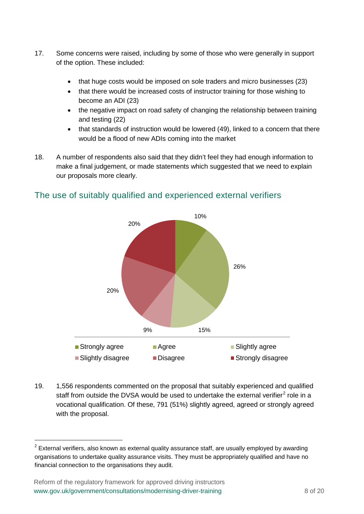- 17. Some concerns were raised, including by some of those who were generally in support of the option. These included:
	- that huge costs would be imposed on sole traders and micro businesses (23)
	- that there would be increased costs of instructor training for those wishing to become an ADI (23)
	- the negative impact on road safety of changing the relationship between training and testing (22)
	- that standards of instruction would be lowered (49), linked to a concern that there would be a flood of new ADIs coming into the market
- 18. A number of respondents also said that they didn't feel they had enough information to make a final judgement, or made statements which suggested that we need to explain our proposals more clearly.



#### The use of suitably qualified and experienced external verifiers

19. 1,556 respondents commented on the proposal that suitably experienced and qualified staff from outside the DVSA would be used to undertake the external verifier<sup>[2](#page-7-0)</sup> role in a vocational qualification. Of these, 791 (51%) slightly agreed, agreed or strongly agreed with the proposal.

-

<span id="page-7-0"></span> $2$  External verifiers, also known as external quality assurance staff, are usually employed by awarding organisations to undertake quality assurance visits. They must be appropriately qualified and have no financial connection to the organisations they audit.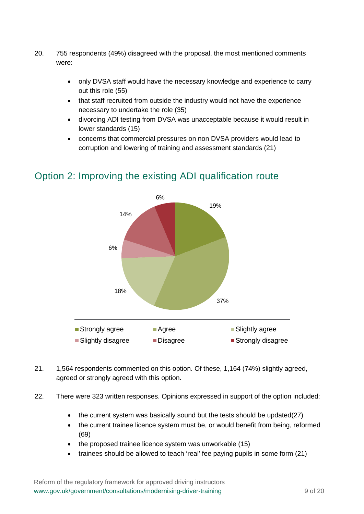- 20. 755 respondents (49%) disagreed with the proposal, the most mentioned comments were:
	- only DVSA staff would have the necessary knowledge and experience to carry out this role (55)
	- that staff recruited from outside the industry would not have the experience necessary to undertake the role (35)
	- divorcing ADI testing from DVSA was unacceptable because it would result in lower standards (15)
	- concerns that commercial pressures on non DVSA providers would lead to corruption and lowering of training and assessment standards (21)



# <span id="page-8-0"></span>Option 2: Improving the existing ADI qualification route

- 21. 1,564 respondents commented on this option. Of these, 1,164 (74%) slightly agreed, agreed or strongly agreed with this option.
- 22. There were 323 written responses. Opinions expressed in support of the option included:
	- the current system was basically sound but the tests should be updated(27)
	- the current trainee licence system must be, or would benefit from being, reformed (69)
	- the proposed trainee licence system was unworkable (15)
	- trainees should be allowed to teach 'real' fee paying pupils in some form (21)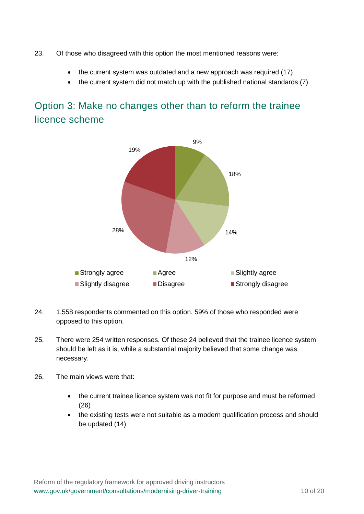- 23. Of those who disagreed with this option the most mentioned reasons were:
	- the current system was outdated and a new approach was required (17)
	- the current system did not match up with the published national standards (7)

## <span id="page-9-0"></span>Option 3: Make no changes other than to reform the trainee licence scheme



- 24. 1,558 respondents commented on this option. 59% of those who responded were opposed to this option.
- 25. There were 254 written responses. Of these 24 believed that the trainee licence system should be left as it is, while a substantial majority believed that some change was necessary.
- 26. The main views were that:
	- the current trainee licence system was not fit for purpose and must be reformed (26)
	- the existing tests were not suitable as a modern qualification process and should be updated (14)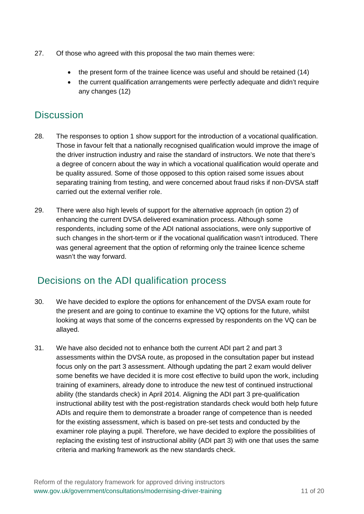- 27. Of those who agreed with this proposal the two main themes were:
	- the present form of the trainee licence was useful and should be retained (14)
	- the current qualification arrangements were perfectly adequate and didn't require any changes (12)

### <span id="page-10-0"></span>**Discussion**

- 28. The responses to option 1 show support for the introduction of a vocational qualification. Those in favour felt that a nationally recognised qualification would improve the image of the driver instruction industry and raise the standard of instructors. We note that there's a degree of concern about the way in which a vocational qualification would operate and be quality assured. Some of those opposed to this option raised some issues about separating training from testing, and were concerned about fraud risks if non-DVSA staff carried out the external verifier role.
- 29. There were also high levels of support for the alternative approach (in option 2) of enhancing the current DVSA delivered examination process. Although some respondents, including some of the ADI national associations, were only supportive of such changes in the short-term or if the vocational qualification wasn't introduced. There was general agreement that the option of reforming only the trainee licence scheme wasn't the way forward.

## <span id="page-10-1"></span>Decisions on the ADI qualification process

- 30. We have decided to explore the options for enhancement of the DVSA exam route for the present and are going to continue to examine the VQ options for the future, whilst looking at ways that some of the concerns expressed by respondents on the VQ can be allayed.
- 31. We have also decided not to enhance both the current ADI part 2 and part 3 assessments within the DVSA route, as proposed in the consultation paper but instead focus only on the part 3 assessment. Although updating the part 2 exam would deliver some benefits we have decided it is more cost effective to build upon the work, including training of examiners, already done to introduce the new test of continued instructional ability (the standards check) in April 2014. Aligning the ADI part 3 pre-qualification instructional ability test with the post-registration standards check would both help future ADIs and require them to demonstrate a broader range of competence than is needed for the existing assessment, which is based on pre-set tests and conducted by the examiner role playing a pupil. Therefore, we have decided to explore the possibilities of replacing the existing test of instructional ability (ADI part 3) with one that uses the same criteria and marking framework as the new standards check.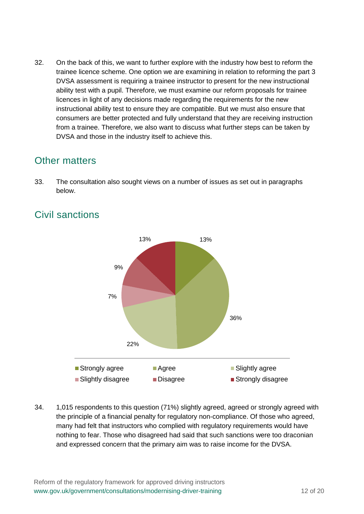32. On the back of this, we want to further explore with the industry how best to reform the trainee licence scheme. One option we are examining in relation to reforming the part 3 DVSA assessment is requiring a trainee instructor to present for the new instructional ability test with a pupil. Therefore, we must examine our reform proposals for trainee licences in light of any decisions made regarding the requirements for the new instructional ability test to ensure they are compatible. But we must also ensure that consumers are better protected and fully understand that they are receiving instruction from a trainee. Therefore, we also want to discuss what further steps can be taken by DVSA and those in the industry itself to achieve this.

### <span id="page-11-0"></span>Other matters

33. The consultation also sought views on a number of issues as set out in paragraphs below.



# <span id="page-11-1"></span>Civil sanctions

34. 1,015 respondents to this question (71%) slightly agreed, agreed or strongly agreed with the principle of a financial penalty for regulatory non-compliance. Of those who agreed, many had felt that instructors who complied with regulatory requirements would have nothing to fear. Those who disagreed had said that such sanctions were too draconian and expressed concern that the primary aim was to raise income for the DVSA.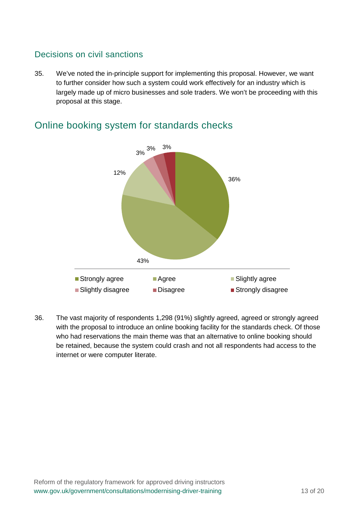#### Decisions on civil sanctions

35. We've noted the in-principle support for implementing this proposal. However, we want to further consider how such a system could work effectively for an industry which is largely made up of micro businesses and sole traders. We won't be proceeding with this proposal at this stage.



#### <span id="page-12-0"></span>Online booking system for standards checks

<span id="page-12-1"></span>36. The vast majority of respondents 1,298 (91%) slightly agreed, agreed or strongly agreed with the proposal to introduce an online booking facility for the standards check. Of those who had reservations the main theme was that an alternative to online booking should be retained, because the system could crash and not all respondents had access to the internet or were computer literate.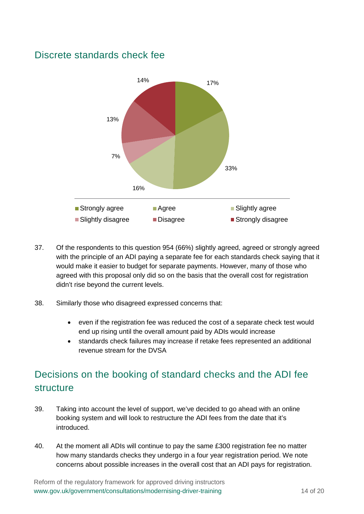### Discrete standards check fee



- 37. Of the respondents to this question 954 (66%) slightly agreed, agreed or strongly agreed with the principle of an ADI paying a separate fee for each standards check saying that it would make it easier to budget for separate payments. However, many of those who agreed with this proposal only did so on the basis that the overall cost for registration didn't rise beyond the current levels.
- 38. Similarly those who disagreed expressed concerns that:
	- even if the registration fee was reduced the cost of a separate check test would end up rising until the overall amount paid by ADIs would increase
	- standards check failures may increase if retake fees represented an additional revenue stream for the DVSA

# <span id="page-13-0"></span>Decisions on the booking of standard checks and the ADI fee structure

- 39. Taking into account the level of support, we've decided to go ahead with an online booking system and will look to restructure the ADI fees from the date that it's introduced.
- 40. At the moment all ADIs will continue to pay the same £300 registration fee no matter how many standards checks they undergo in a four year registration period. We note concerns about possible increases in the overall cost that an ADI pays for registration.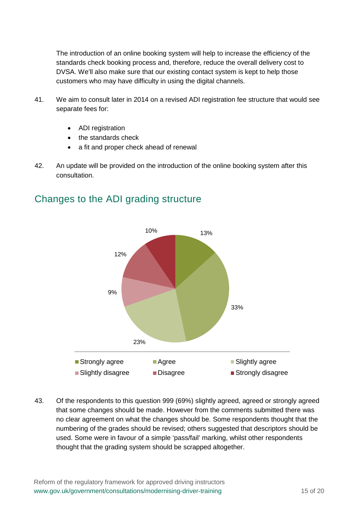The introduction of an online booking system will help to increase the efficiency of the standards check booking process and, therefore, reduce the overall delivery cost to DVSA. We'll also make sure that our existing contact system is kept to help those customers who may have difficulty in using the digital channels.

- 41. We aim to consult later in 2014 on a revised ADI registration fee structure that would see separate fees for:
	- ADI registration
	- the standards check
	- a fit and proper check ahead of renewal
- 42. An update will be provided on the introduction of the online booking system after this consultation.

#### <span id="page-14-0"></span>Changes to the ADI grading structure



43. Of the respondents to this question 999 (69%) slightly agreed, agreed or strongly agreed that some changes should be made. However from the comments submitted there was no clear agreement on what the changes should be. Some respondents thought that the numbering of the grades should be revised; others suggested that descriptors should be used. Some were in favour of a simple 'pass/fail' marking, whilst other respondents thought that the grading system should be scrapped altogether.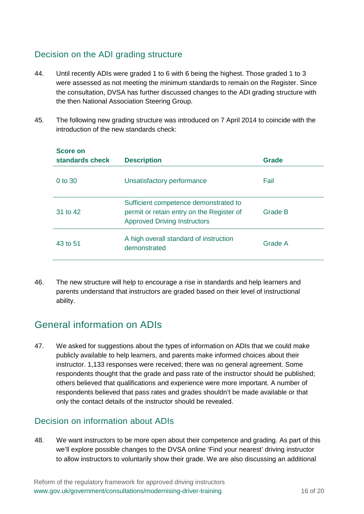#### Decision on the ADI grading structure

- 44. Until recently ADIs were graded 1 to 6 with 6 being the highest. Those graded 1 to 3 were assessed as not meeting the minimum standards to remain on the Register. Since the consultation, DVSA has further discussed changes to the ADI grading structure with the then National Association Steering Group.
- 45. The following new grading structure was introduced on 7 April 2014 to coincide with the introduction of the new standards check:

| <b>Score on</b><br>standards check | <b>Description</b>                                                                                                        | Grade   |
|------------------------------------|---------------------------------------------------------------------------------------------------------------------------|---------|
| $0$ to 30                          | Unsatisfactory performance                                                                                                | Fail    |
| 31 to 42                           | Sufficient competence demonstrated to<br>permit or retain entry on the Register of<br><b>Approved Driving Instructors</b> | Grade B |
| 43 to 51                           | A high overall standard of instruction<br>demonstrated                                                                    | Grade A |

46. The new structure will help to encourage a rise in standards and help learners and parents understand that instructors are graded based on their level of instructional ability.

## <span id="page-15-0"></span>General information on ADIs

47. We asked for suggestions about the types of information on ADIs that we could make publicly available to help learners, and parents make informed choices about their instructor. 1,133 responses were received; there was no general agreement. Some respondents thought that the grade and pass rate of the instructor should be published; others believed that qualifications and experience were more important. A number of respondents believed that pass rates and grades shouldn't be made available or that only the contact details of the instructor should be revealed.

#### Decision on information about ADIs

48. We want instructors to be more open about their competence and grading. As part of this we'll explore possible changes to the DVSA online 'Find your nearest' driving instructor to allow instructors to voluntarily show their grade. We are also discussing an additional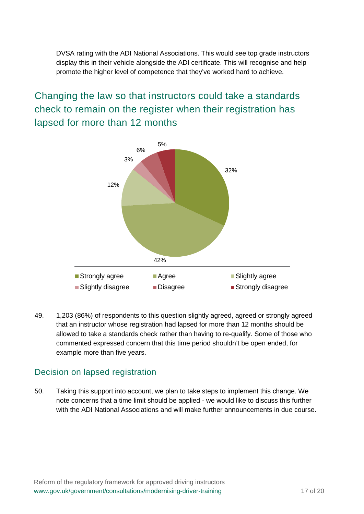DVSA rating with the ADI National Associations. This would see top grade instructors display this in their vehicle alongside the ADI certificate. This will recognise and help promote the higher level of competence that they've worked hard to achieve.

<span id="page-16-0"></span>Changing the law so that instructors could take a standards check to remain on the register when their registration has lapsed for more than 12 months



49. 1,203 (86%) of respondents to this question slightly agreed, agreed or strongly agreed that an instructor whose registration had lapsed for more than 12 months should be allowed to take a standards check rather than having to re-qualify. Some of those who commented expressed concern that this time period shouldn't be open ended, for example more than five years.

#### Decision on lapsed registration

<span id="page-16-1"></span>50. Taking this support into account, we plan to take steps to implement this change. We note concerns that a time limit should be applied - we would like to discuss this further with the ADI National Associations and will make further announcements in due course.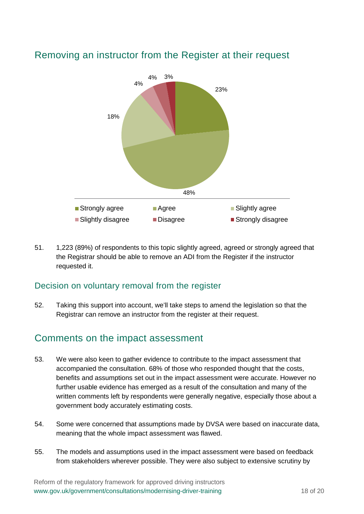

### Removing an instructor from the Register at their request

51. 1,223 (89%) of respondents to this topic slightly agreed, agreed or strongly agreed that the Registrar should be able to remove an ADI from the Register if the instructor requested it.

#### Decision on voluntary removal from the register

52. Taking this support into account, we'll take steps to amend the legislation so that the Registrar can remove an instructor from the register at their request.

### <span id="page-17-0"></span>Comments on the impact assessment

- 53. We were also keen to gather evidence to contribute to the impact assessment that accompanied the consultation. 68% of those who responded thought that the costs, benefits and assumptions set out in the impact assessment were accurate. However no further usable evidence has emerged as a result of the consultation and many of the written comments left by respondents were generally negative, especially those about a government body accurately estimating costs.
- 54. Some were concerned that assumptions made by DVSA were based on inaccurate data, meaning that the whole impact assessment was flawed.
- 55. The models and assumptions used in the impact assessment were based on feedback from stakeholders wherever possible. They were also subject to extensive scrutiny by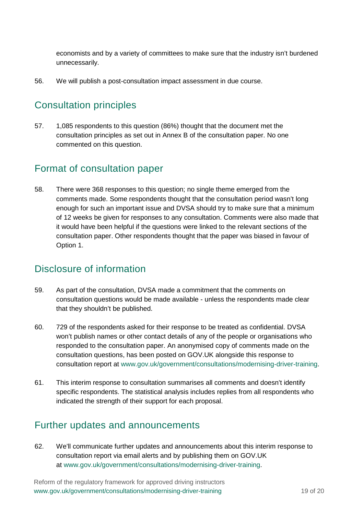economists and by a variety of committees to make sure that the industry isn't burdened unnecessarily.

56. We will publish a post-consultation impact assessment in due course.

## <span id="page-18-0"></span>Consultation principles

57. 1,085 respondents to this question (86%) thought that the document met the consultation principles as set out in Annex B of the consultation paper. No one commented on this question.

#### <span id="page-18-1"></span>Format of consultation paper

58. There were 368 responses to this question; no single theme emerged from the comments made. Some respondents thought that the consultation period wasn't long enough for such an important issue and DVSA should try to make sure that a minimum of 12 weeks be given for responses to any consultation. Comments were also made that it would have been helpful if the questions were linked to the relevant sections of the consultation paper. Other respondents thought that the paper was biased in favour of Option 1.

### <span id="page-18-2"></span>Disclosure of information

- 59. As part of the consultation, DVSA made a commitment that the comments on consultation questions would be made available - unless the respondents made clear that they shouldn't be published.
- 60. 729 of the respondents asked for their response to be treated as confidential. DVSA won't publish names or other contact details of any of the people or organisations who responded to the consultation paper. An anonymised copy of comments made on the consultation questions, has been posted on GOV.UK alongside this response to consultation report at [www.gov.uk/government/consultations/modernising-driver-training.](http://www.gov.uk/government/consultations/modernising-driver-training)
- 61. This interim response to consultation summarises all comments and doesn't identify specific respondents. The statistical analysis includes replies from all respondents who indicated the strength of their support for each proposal.

## <span id="page-18-3"></span>Further updates and announcements

62. We'll communicate further updates and announcements about this interim response to consultation report via email alerts and by publishing them on GOV.UK at [www.gov.uk/government/consultations/modernising-driver-training.](http://www.gov.uk/government/consultations/modernising-driver-training)

Reform of the regulatory framework for approved driving instructors www.gov.uk/government/consultations/modernising-driver-training 19 of 20